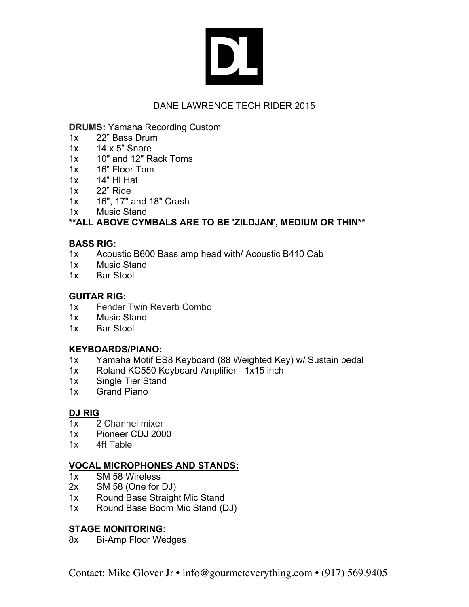# DL

# DANE LAWRENCE TECH RIDER 2015

### **DRUMS:** Yamaha Recording Custom

- 1x 22" Bass Drum
- 1x 14 x 5" Snare
- 1x 10" and 12" Rack Toms
- 1x 16" Floor Tom
- 1x 14" Hi Hat
- 1x 22" Ride
- 1x 16", 17" and 18" Crash
- 1x Music Stand

## **\*\*ALL ABOVE CYMBALS ARE TO BE 'ZILDJAN', MEDIUM OR THIN\*\***

### **BASS RIG:**

- 1x Acoustic B600 Bass amp head with/ Acoustic B410 Cab
- 1x Music Stand
- 1x Bar Stool

## **GUITAR RIG:**

- 1x Fender Twin Reverb Combo
- 1x Music Stand
- 1x Bar Stool

## **KEYBOARDS/PIANO:**

- 1x Yamaha Motif ES8 Keyboard (88 Weighted Key) w/ Sustain pedal
- 1x Roland KC550 Keyboard Amplifier 1x15 inch
- 1x Single Tier Stand
- 1x Grand Piano

## **DJ RIG**

- 1x 2 Channel mixer
- 1x Pioneer CDJ 2000
- 1x 4ft Table

## **VOCAL MICROPHONES AND STANDS:**

- 1x SM 58 Wireless
- 2x SM 58 (One for DJ)
- 1x Round Base Straight Mic Stand
- 1x Round Base Boom Mic Stand (DJ)

## **STAGE MONITORING:**

8x Bi-Amp Floor Wedges

Contact: Mike Glover Jr • info@gourmeteverything.com • (917) 569.9405